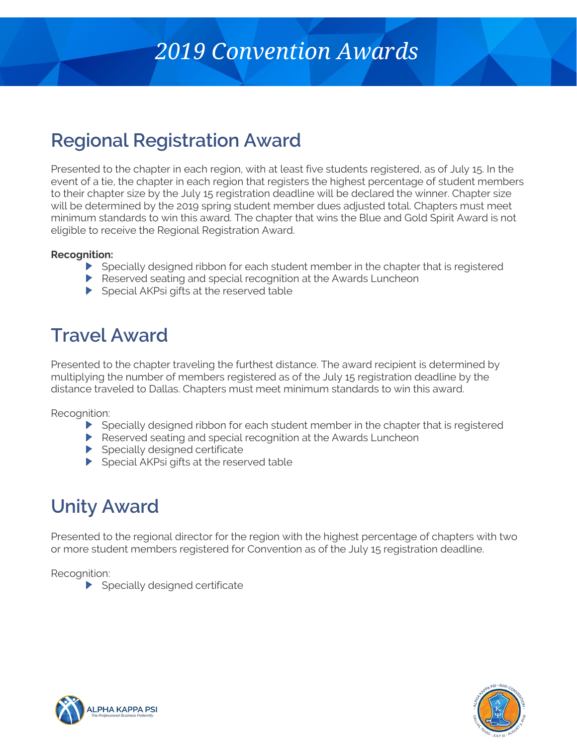# *2019 Convention Awards*

## **Regional Registration Award**

Presented to the chapter in each region, with at least five students registered, as of July 15. In the event of a tie, the chapter in each region that registers the highest percentage of student members to their chapter size by the July 15 registration deadline will be declared the winner. Chapter size will be determined by the 2019 spring student member dues adjusted total. Chapters must meet minimum standards to win this award. The chapter that wins the Blue and Gold Spirit Award is not eligible to receive the Regional Registration Award.

#### **Recognition:**

- Specially designed ribbon for each student member in the chapter that is registered
- Reserved seating and special recognition at the Awards Luncheon
- $\blacktriangleright$  Special AKPsi gifts at the reserved table

#### **Travel Award**

Presented to the chapter traveling the furthest distance. The award recipient is determined by multiplying the number of members registered as of the July 15 registration deadline by the distance traveled to Dallas. Chapters must meet minimum standards to win this award.

Recognition:

- Specially designed ribbon for each student member in the chapter that is registered
- Reserved seating and special recognition at the Awards Luncheon
- $\blacktriangleright$  Specially designed certificate
- Special AKPsi gifts at the reserved table

## **Unity Award**

Presented to the regional director for the region with the highest percentage of chapters with two or more student members registered for Convention as of the July 15 registration deadline.

Recognition:

 $\blacktriangleright$  Specially designed certificate